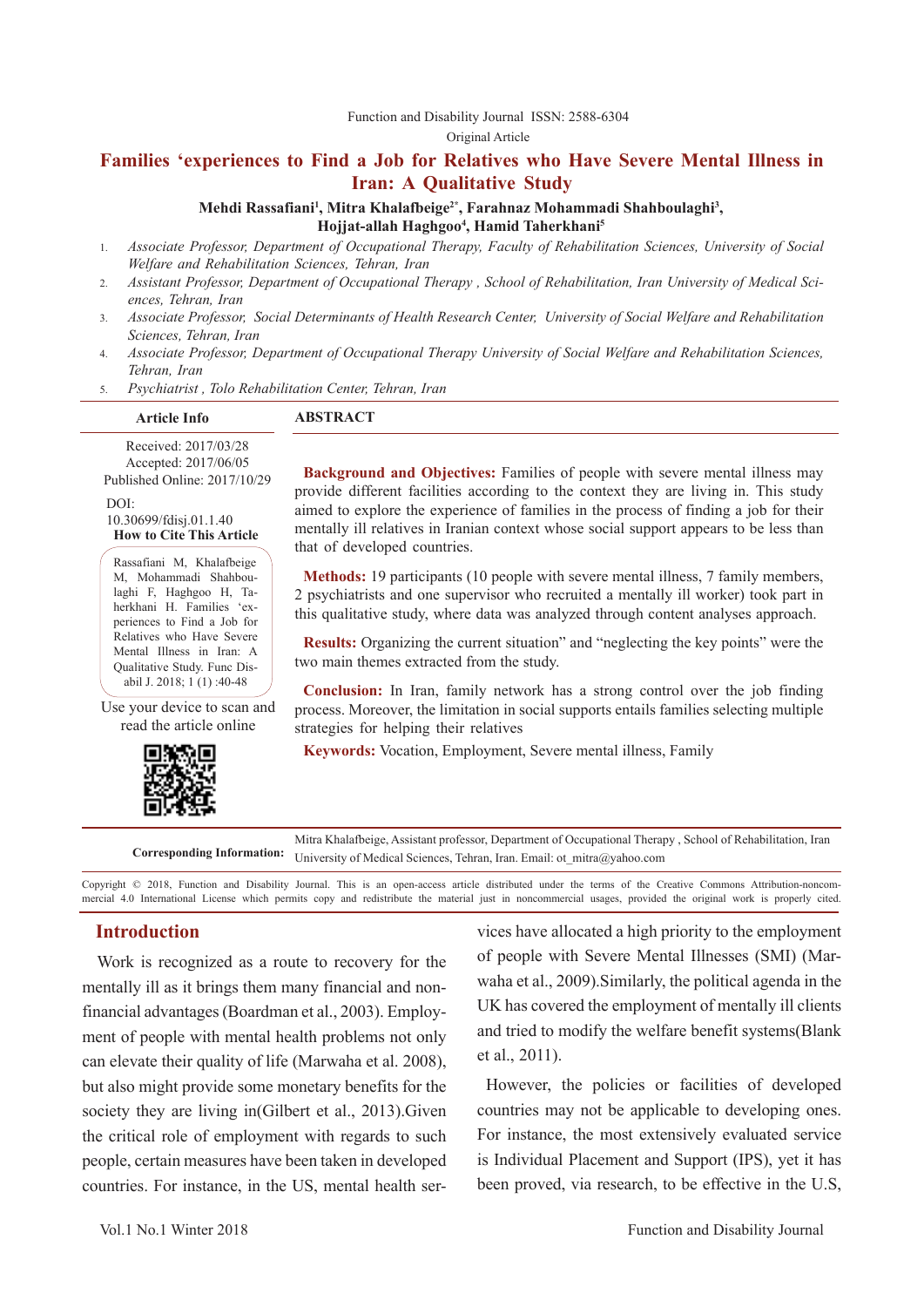#### Function and Disability Journal ISSN: 2588-6304

Original Article

# **Families 'experiences to Find a Job for Relatives who Have Severe Mental Illness in Iran: A Qualitative Study**

#### Mehdi Rassafiani<sup>1</sup>, Mitra Khalafbeige<sup>2\*</sup>, Farahnaz Mohammadi Shahboulaghi<sup>3</sup>, **Hojjat-allah Haghgoo4 , Hamid Taherkhani5**

- 1. *Associate Professor, Department of Occupational Therapy, Faculty of Rehabilitation Sciences, University of Social Welfare and Rehabilitation Sciences, Tehran, Iran*
- 2. *Assistant Professor, Department of Occupational Therapy , School of Rehabilitation, Iran University of Medical Sciences, Tehran, Iran*
- 3. *Associate Professor, Social Determinants of Health Research Center, University of Social Welfare and Rehabilitation Sciences, Tehran, Iran*
- 4. *Associate Professor, Department of Occupational Therapy University of Social Welfare and Rehabilitation Sciences, Tehran, Iran*
- 5. *Psychiatrist , Tolo Rehabilitation Center, Tehran, Iran*

| <b>Article Info</b>  | <b>ABSTRACT</b> |  |
|----------------------|-----------------|--|
| Received: 2017/03/28 |                 |  |
|                      |                 |  |

Accepted: 2017/06/05 Published Online: 2017/10/29

 $DOI<sup>2</sup>$ 

10.30699/fdisj.01.1.40 **How to Cite This Article**

Rassafiani M, Khalafbeige M, Mohammadi Shahboulaghi F, Haghgoo H, Taherkhani H. Families 'experiences to Find a Job for Relatives who Have Severe Mental Illness in Iran: A Qualitative Study. Func Disabil J. 2018; 1 (1) :40-48

Use your device to scan and read the article online



**Background and Objectives:** Families of people with severe mental illness may provide different facilities according to the context they are living in. This study aimed to explore the experience of families in the process of finding a job for their mentally ill relatives in Iranian context whose social support appears to be less than that of developed countries.

**Methods:** 19 participants (10 people with severe mental illness, 7 family members, 2 psychiatrists and one supervisor who recruited a mentally ill worker) took part in this qualitative study, where data was analyzed through content analyses approach.

**Results:** Organizing the current situation" and "neglecting the key points" were the two main themes extracted from the study.

**Conclusion:** In Iran, family network has a strong control over the job finding process. Moreover, the limitation in social supports entails families selecting multiple strategies for helping their relatives

**Keywords:** Vocation, Employment, Severe mental illness, Family

**Corresponding Information:** Mitra Khalafbeige, Assistant professor, Department of Occupational Therapy , School of Rehabilitation, Iran University of Medical Sciences, Tehran, Iran. Email: ot\_mitra@yahoo.com

Copyright © 2018, Function and Disability Journal. This is an open-access article distributed under the terms of the Creative Commons Attribution-noncommercial 4.0 International License which permits copy and redistribute the material just in noncommercial usages, provided the original work is properly cited.

## **Introduction**

 Work is recognized as a route to recovery for the mentally ill as it brings them many financial and nonfinancial advantages (Boardman et al., 2003). Employment of people with mental health problems not only can elevate their quality of life (Marwaha et al. 2008), but also might provide some monetary benefits for the society they are living in(Gilbert et al., 2013).Given the critical role of employment with regards to such people, certain measures have been taken in developed countries. For instance, in the US, mental health services have allocated a high priority to the employment of people with Severe Mental Illnesses (SMI) (Marwaha et al., 2009).Similarly, the political agenda in the UK has covered the employment of mentally ill clients and tried to modify the welfare benefit systems(Blank et al., 2011).

However, the policies or facilities of developed countries may not be applicable to developing ones. For instance, the most extensively evaluated service is Individual Placement and Support (IPS), yet it has been proved, via research, to be effective in the U.S,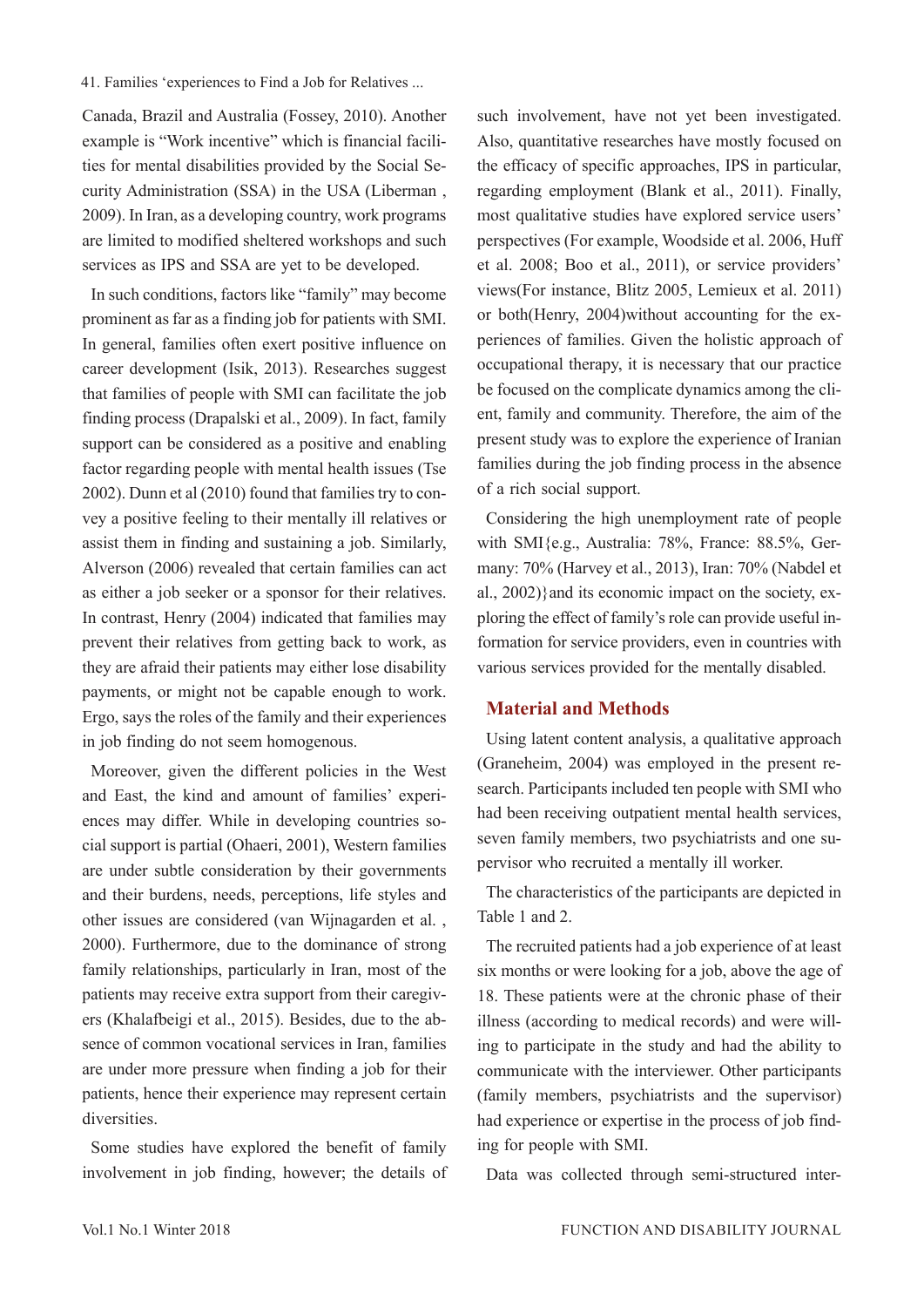#### 41. Families 'experiences to Find a Job for Relatives ...

Canada, Brazil and Australia (Fossey, 2010). Another example is "Work incentive" which is financial facilities for mental disabilities provided by the Social Security Administration (SSA) in the USA (Liberman , 2009). In Iran, as a developing country, work programs are limited to modified sheltered workshops and such services as IPS and SSA are yet to be developed.

In such conditions, factors like "family" may become prominent as far as a finding job for patients with SMI. In general, families often exert positive influence on career development (Isik, 2013). Researches suggest that families of people with SMI can facilitate the job finding process (Drapalski et al., 2009). In fact, family support can be considered as a positive and enabling factor regarding people with mental health issues (Tse 2002). Dunn et al (2010) found that families try to convey a positive feeling to their mentally ill relatives or assist them in finding and sustaining a job. Similarly, Alverson (2006) revealed that certain families can act as either a job seeker or a sponsor for their relatives. In contrast, Henry (2004) indicated that families may prevent their relatives from getting back to work, as they are afraid their patients may either lose disability payments, or might not be capable enough to work. Ergo, says the roles of the family and their experiences in job finding do not seem homogenous.

Moreover, given the different policies in the West and East, the kind and amount of families' experiences may differ. While in developing countries social support is partial (Ohaeri, 2001), Western families are under subtle consideration by their governments and their burdens, needs, perceptions, life styles and other issues are considered (van Wijnagarden et al. , 2000). Furthermore, due to the dominance of strong family relationships, particularly in Iran, most of the patients may receive extra support from their caregivers (Khalafbeigi et al., 2015). Besides, due to the absence of common vocational services in Iran, families are under more pressure when finding a job for their patients, hence their experience may represent certain diversities.

Some studies have explored the benefit of family involvement in job finding, however; the details of such involvement, have not yet been investigated. Also, quantitative researches have mostly focused on the efficacy of specific approaches, IPS in particular, regarding employment (Blank et al., 2011). Finally, most qualitative studies have explored service users' perspectives (For example, Woodside et al. 2006, Huff et al. 2008; Boo et al., 2011), or service providers' views(For instance, Blitz 2005, Lemieux et al. 2011) or both(Henry, 2004)without accounting for the experiences of families. Given the holistic approach of occupational therapy, it is necessary that our practice be focused on the complicate dynamics among the client, family and community. Therefore, the aim of the present study was to explore the experience of Iranian families during the job finding process in the absence of a rich social support.

Considering the high unemployment rate of people with SMI{e.g., Australia: 78%, France: 88.5%, Germany: 70% (Harvey et al., 2013), Iran: 70% (Nabdel et al., 2002)}and its economic impact on the society, exploring the effect of family's role can provide useful information for service providers, even in countries with various services provided for the mentally disabled.

# **Material and Methods**

Using latent content analysis, a qualitative approach (Graneheim, 2004) was employed in the present research. Participants included ten people with SMI who had been receiving outpatient mental health services, seven family members, two psychiatrists and one supervisor who recruited a mentally ill worker.

The characteristics of the participants are depicted in Table 1 and 2.

The recruited patients had a job experience of at least six months or were looking for a job, above the age of 18. These patients were at the chronic phase of their illness (according to medical records) and were willing to participate in the study and had the ability to communicate with the interviewer. Other participants (family members, psychiatrists and the supervisor) had experience or expertise in the process of job finding for people with SMI.

Data was collected through semi-structured inter-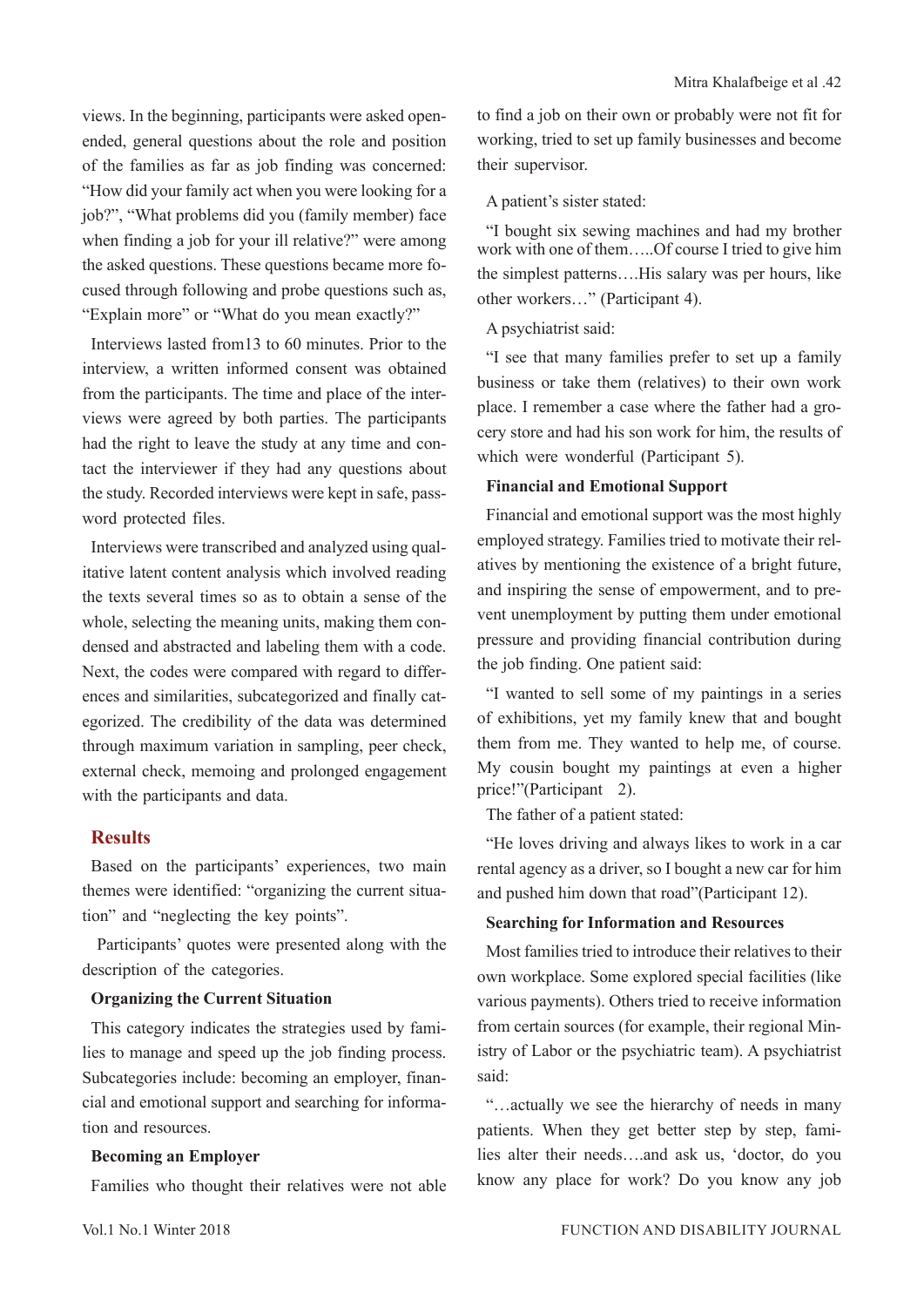views. In the beginning, participants were asked openended, general questions about the role and position of the families as far as job finding was concerned: "How did your family act when you were looking for a job?", "What problems did you (family member) face when finding a job for your ill relative?" were among the asked questions. These questions became more focused through following and probe questions such as, "Explain more" or "What do you mean exactly?"

Interviews lasted from13 to 60 minutes. Prior to the interview, a written informed consent was obtained from the participants. The time and place of the interviews were agreed by both parties. The participants had the right to leave the study at any time and contact the interviewer if they had any questions about the study. Recorded interviews were kept in safe, password protected files.

Interviews were transcribed and analyzed using qualitative latent content analysis which involved reading the texts several times so as to obtain a sense of the whole, selecting the meaning units, making them condensed and abstracted and labeling them with a code. Next, the codes were compared with regard to differences and similarities, subcategorized and finally categorized. The credibility of the data was determined through maximum variation in sampling, peer check, external check, memoing and prolonged engagement with the participants and data.

## **Results**

Based on the participants' experiences, two main themes were identified: "organizing the current situation" and "neglecting the key points".

 Participants' quotes were presented along with the description of the categories.

## **Organizing the Current Situation**

This category indicates the strategies used by families to manage and speed up the job finding process. Subcategories include: becoming an employer, financial and emotional support and searching for information and resources.

## **Becoming an Employer**

Families who thought their relatives were not able

to find a job on their own or probably were not fit for working, tried to set up family businesses and become their supervisor.

A patient's sister stated:

"I bought six sewing machines and had my brother work with one of them…..Of course I tried to give him the simplest patterns….His salary was per hours, like other workers…" (Participant 4).

## A psychiatrist said:

"I see that many families prefer to set up a family business or take them (relatives) to their own work place. I remember a case where the father had a grocery store and had his son work for him, the results of which were wonderful (Participant 5).

## **Financial and Emotional Support**

Financial and emotional support was the most highly employed strategy. Families tried to motivate their relatives by mentioning the existence of a bright future, and inspiring the sense of empowerment, and to prevent unemployment by putting them under emotional pressure and providing financial contribution during the job finding. One patient said:

"I wanted to sell some of my paintings in a series of exhibitions, yet my family knew that and bought them from me. They wanted to help me, of course. My cousin bought my paintings at even a higher price!"(Participant 2).

The father of a patient stated:

"He loves driving and always likes to work in a car rental agency as a driver, so I bought a new car for him and pushed him down that road"(Participant 12).

### **Searching for Information and Resources**

Most families tried to introduce their relatives to their own workplace. Some explored special facilities (like various payments). Others tried to receive information from certain sources (for example, their regional Ministry of Labor or the psychiatric team). A psychiatrist said:

"…actually we see the hierarchy of needs in many patients. When they get better step by step, families alter their needs….and ask us, 'doctor, do you know any place for work? Do you know any job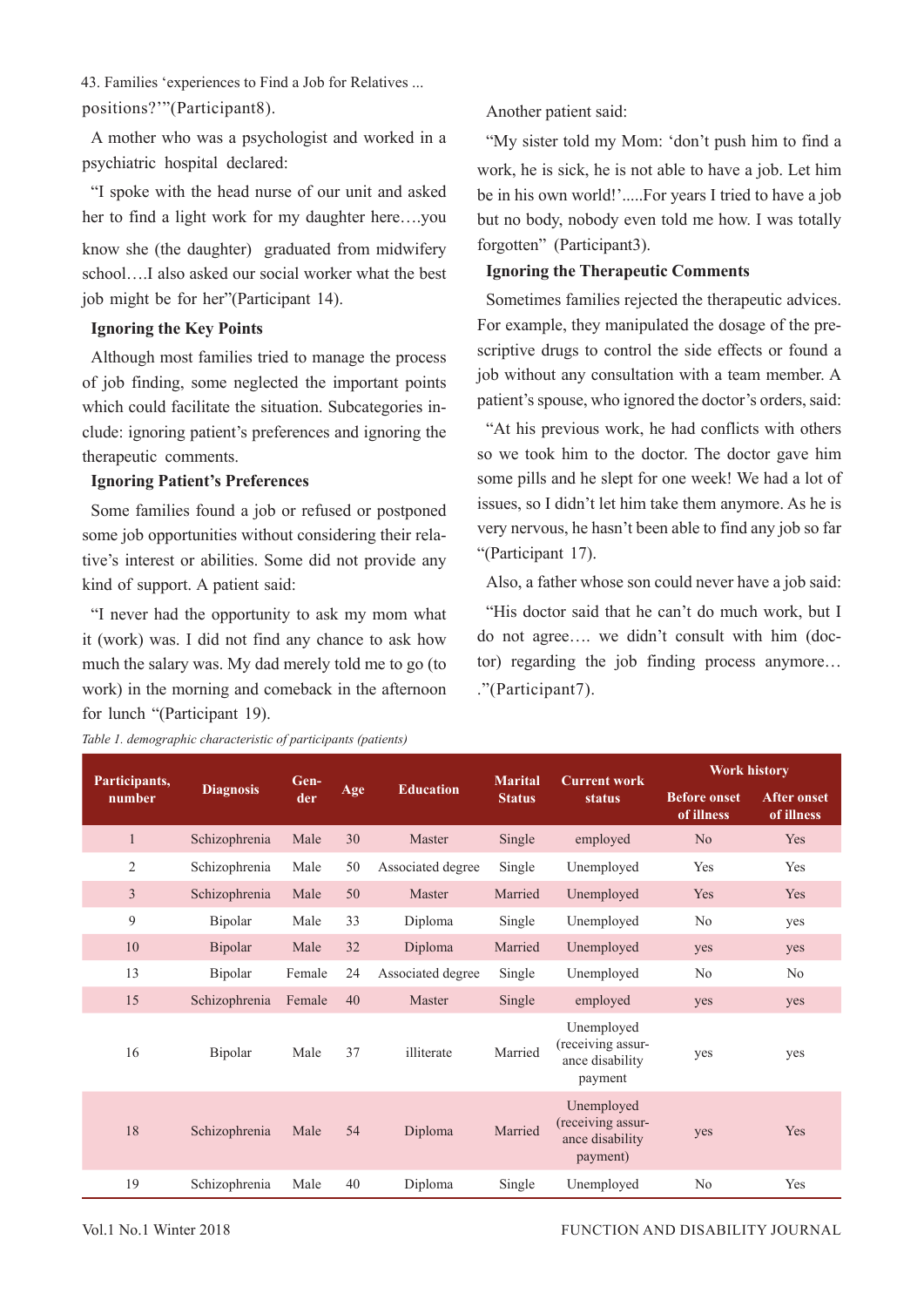43. Families 'experiences to Find a Job for Relatives ... positions?'"(Participant8).

A mother who was a psychologist and worked in a psychiatric hospital declared:

"I spoke with the head nurse of our unit and asked her to find a light work for my daughter here….you know she (the daughter) graduated from midwifery school….I also asked our social worker what the best

job might be for her"(Participant 14).

### **Ignoring the Key Points**

Although most families tried to manage the process of job finding, some neglected the important points which could facilitate the situation. Subcategories include: ignoring patient's preferences and ignoring the therapeutic comments.

#### **Ignoring Patient's Preferences**

Some families found a job or refused or postponed some job opportunities without considering their relative's interest or abilities. Some did not provide any kind of support. A patient said:

"I never had the opportunity to ask my mom what it (work) was. I did not find any chance to ask how much the salary was. My dad merely told me to go (to work) in the morning and comeback in the afternoon for lunch "(Participant 19).

Another patient said:

"My sister told my Mom: 'don't push him to find a work, he is sick, he is not able to have a job. Let him be in his own world!'.....For years I tried to have a job but no body, nobody even told me how. I was totally forgotten" (Participant3).

## **Ignoring the Therapeutic Comments**

Sometimes families rejected the therapeutic advices. For example, they manipulated the dosage of the prescriptive drugs to control the side effects or found a job without any consultation with a team member. A patient's spouse, who ignored the doctor's orders, said:

"At his previous work, he had conflicts with others so we took him to the doctor. The doctor gave him some pills and he slept for one week! We had a lot of issues, so I didn't let him take them anymore. As he is very nervous, he hasn't been able to find any job so far "(Participant 17).

Also, a father whose son could never have a job said:

"His doctor said that he can't do much work, but I do not agree…. we didn't consult with him (doctor) regarding the job finding process anymore… ."(Participant7).

| Participants,<br>number | <b>Diagnosis</b> | Gen-<br>der |     | <b>Education</b>  | <b>Marital</b><br><b>Status</b> | <b>Current work</b><br><b>status</b>                           | <b>Work history</b>               |                                  |
|-------------------------|------------------|-------------|-----|-------------------|---------------------------------|----------------------------------------------------------------|-----------------------------------|----------------------------------|
|                         |                  |             | Age |                   |                                 |                                                                | <b>Before onset</b><br>of illness | <b>After onset</b><br>of illness |
| $\mathbf{1}$            | Schizophrenia    | Male        | 30  | Master            | Single                          | employed                                                       | N <sub>o</sub>                    | Yes                              |
| $\overline{2}$          | Schizophrenia    | Male        | 50  | Associated degree | Single                          | Unemployed                                                     | Yes                               | Yes                              |
| $\overline{3}$          | Schizophrenia    | Male        | 50  | Master            | Married                         | Unemployed                                                     | Yes                               | Yes                              |
| 9                       | Bipolar          | Male        | 33  | Diploma           | Single                          | Unemployed                                                     | N <sub>o</sub>                    | yes                              |
| 10                      | Bipolar          | Male        | 32  | Diploma           | Married                         | Unemployed                                                     | yes                               | yes                              |
| 13                      | Bipolar          | Female      | 24  | Associated degree | Single                          | Unemployed                                                     | N <sub>o</sub>                    | No                               |
| 15                      | Schizophrenia    | Female      | 40  | Master            | Single                          | employed                                                       | yes                               | yes                              |
| 16                      | Bipolar          | Male        | 37  | illiterate        | Married                         | Unemployed<br>(receiving assur-<br>ance disability<br>payment  | yes                               | yes                              |
| 18                      | Schizophrenia    | Male        | 54  | Diploma           | Married                         | Unemployed<br>(receiving assur-<br>ance disability<br>payment) | yes                               | Yes                              |
| 19                      | Schizophrenia    | Male        | 40  | Diploma           | Single                          | Unemployed                                                     | No                                | Yes                              |

*Table 1. demographic characteristic of participants (patients)*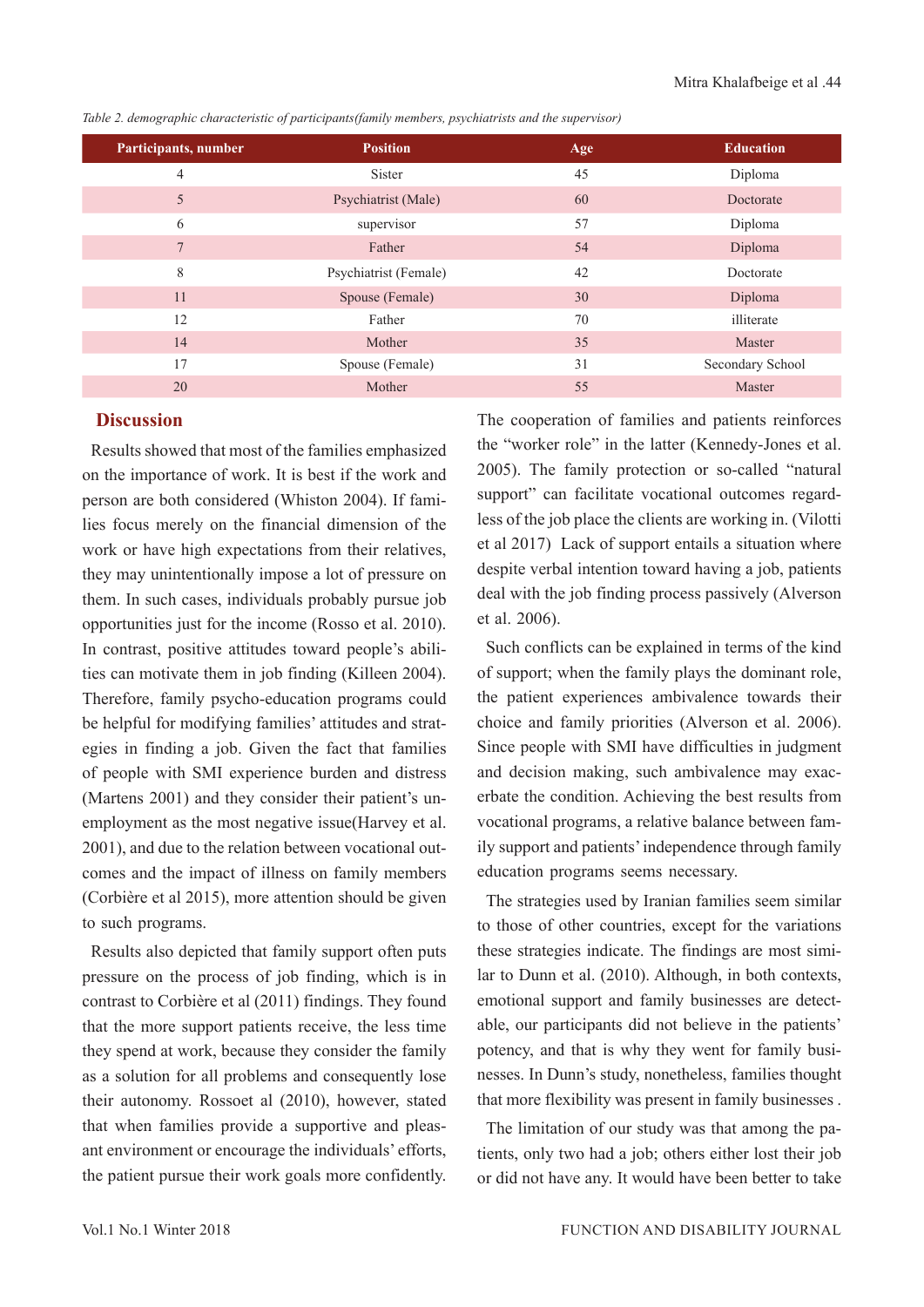| Participants, number | <b>Position</b>       | Age | <b>Education</b> |
|----------------------|-----------------------|-----|------------------|
| $\overline{4}$       | Sister                | 45  | Diploma          |
| 5                    | Psychiatrist (Male)   | 60  | Doctorate        |
| 6                    | supervisor            | 57  | Diploma          |
| 7                    | Father                | 54  | Diploma          |
| 8                    | Psychiatrist (Female) | 42  | Doctorate        |
| 11                   | Spouse (Female)       | 30  | Diploma          |
| 12                   | Father                | 70  | illiterate       |
| 14                   | Mother                | 35  | Master           |
| 17                   | Spouse (Female)       | 31  | Secondary School |
| 20                   | Mother                | 55  | Master           |

*Table 2. demographic characteristic of participants(family members, psychiatrists and the supervisor)*

## **Discussion**

Results showed that most of the families emphasized on the importance of work. It is best if the work and person are both considered (Whiston 2004). If families focus merely on the financial dimension of the work or have high expectations from their relatives, they may unintentionally impose a lot of pressure on them. In such cases, individuals probably pursue job opportunities just for the income (Rosso et al. 2010). In contrast, positive attitudes toward people's abilities can motivate them in job finding (Killeen 2004). Therefore, family psycho-education programs could be helpful for modifying families' attitudes and strategies in finding a job. Given the fact that families of people with SMI experience burden and distress (Martens 2001) and they consider their patient's unemployment as the most negative issue(Harvey et al. 2001), and due to the relation between vocational outcomes and the impact of illness on family members (Corbière et al 2015), more attention should be given to such programs.

Results also depicted that family support often puts pressure on the process of job finding, which is in contrast to Corbière et al (2011) findings. They found that the more support patients receive, the less time they spend at work, because they consider the family as a solution for all problems and consequently lose their autonomy. Rossoet al (2010), however, stated that when families provide a supportive and pleasant environment or encourage the individuals' efforts, the patient pursue their work goals more confidently.

The cooperation of families and patients reinforces the "worker role" in the latter (Kennedy‐Jones et al. 2005). The family protection or so-called "natural support" can facilitate vocational outcomes regardless of the job place the clients are working in. (Vilotti et al 2017) Lack of support entails a situation where despite verbal intention toward having a job, patients deal with the job finding process passively (Alverson et al. 2006).

Such conflicts can be explained in terms of the kind of support; when the family plays the dominant role, the patient experiences ambivalence towards their choice and family priorities (Alverson et al. 2006). Since people with SMI have difficulties in judgment and decision making, such ambivalence may exacerbate the condition. Achieving the best results from vocational programs, a relative balance between family support and patients' independence through family education programs seems necessary.

The strategies used by Iranian families seem similar to those of other countries, except for the variations these strategies indicate. The findings are most similar to Dunn et al. (2010). Although, in both contexts, emotional support and family businesses are detectable, our participants did not believe in the patients' potency, and that is why they went for family businesses. In Dunn's study, nonetheless, families thought that more flexibility was present in family businesses .

The limitation of our study was that among the patients, only two had a job; others either lost their job or did not have any. It would have been better to take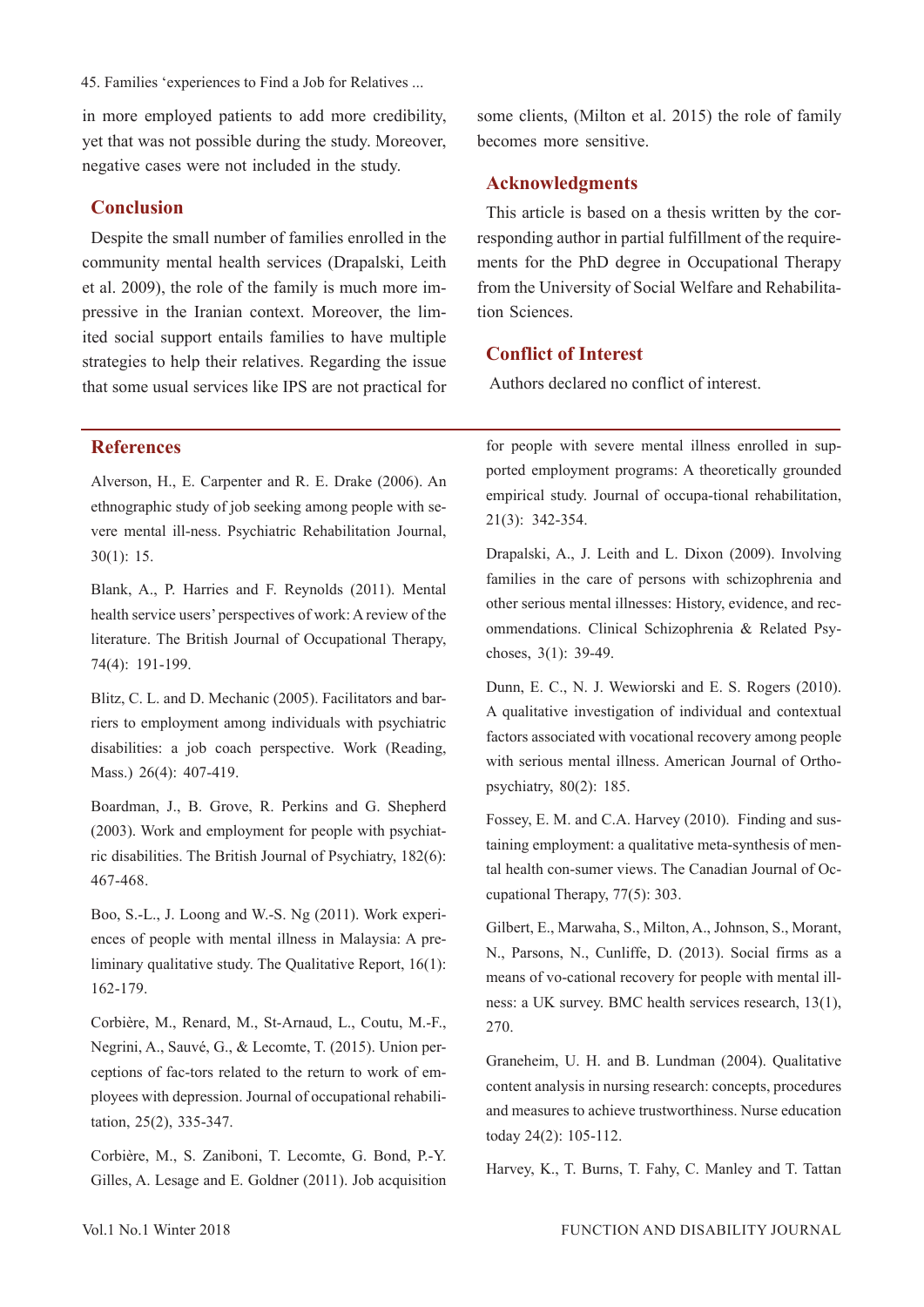45. Families 'experiences to Find a Job for Relatives ...

in more employed patients to add more credibility, yet that was not possible during the study. Moreover, negative cases were not included in the study.

## **Conclusion**

Despite the small number of families enrolled in the community mental health services (Drapalski, Leith et al. 2009), the role of the family is much more impressive in the Iranian context. Moreover, the limited social support entails families to have multiple strategies to help their relatives. Regarding the issue that some usual services like IPS are not practical for

#### **References**

Alverson, H., E. Carpenter and R. E. Drake (2006). An ethnographic study of job seeking among people with severe mental ill-ness. Psychiatric Rehabilitation Journal, 30(1): 15.

Blank, A., P. Harries and F. Reynolds (2011). Mental health service users' perspectives of work: A review of the literature. The British Journal of Occupational Therapy, 74(4): 191-199.

Blitz, C. L. and D. Mechanic (2005). Facilitators and barriers to employment among individuals with psychiatric disabilities: a job coach perspective. Work (Reading, Mass.) 26(4): 407-419.

Boardman, J., B. Grove, R. Perkins and G. Shepherd (2003). Work and employment for people with psychiatric disabilities. The British Journal of Psychiatry, 182(6): 467-468.

Boo, S.-L., J. Loong and W.-S. Ng (2011). Work experiences of people with mental illness in Malaysia: A preliminary qualitative study. The Qualitative Report, 16(1): 162-179.

Corbière, M., Renard, M., St-Arnaud, L., Coutu, M.-F., Negrini, A., Sauvé, G., & Lecomte, T. (2015). Union perceptions of fac-tors related to the return to work of employees with depression. Journal of occupational rehabilitation, 25(2), 335-347.

Corbière, M., S. Zaniboni, T. Lecomte, G. Bond, P.-Y. Gilles, A. Lesage and E. Goldner (2011). Job acquisition some clients, (Milton et al. 2015) the role of family becomes more sensitive.

### **Acknowledgments**

This article is based on a thesis written by the corresponding author in partial fulfillment of the requirements for the PhD degree in Occupational Therapy from the University of Social Welfare and Rehabilitation Sciences.

## **Conflict of Interest**

Authors declared no conflict of interest.

for people with severe mental illness enrolled in supported employment programs: A theoretically grounded empirical study. Journal of occupa-tional rehabilitation, 21(3): 342-354.

Drapalski, A., J. Leith and L. Dixon (2009). Involving families in the care of persons with schizophrenia and other serious mental illnesses: History, evidence, and recommendations. Clinical Schizophrenia & Related Psychoses, 3(1): 39-49.

Dunn, E. C., N. J. Wewiorski and E. S. Rogers (2010). A qualitative investigation of individual and contextual factors associated with vocational recovery among people with serious mental illness. American Journal of Orthopsychiatry, 80(2): 185.

Fossey, E. M. and C.A. Harvey (2010). Finding and sustaining employment: a qualitative meta-synthesis of mental health con-sumer views. The Canadian Journal of Occupational Therapy, 77(5): 303.

Gilbert, E., Marwaha, S., Milton, A., Johnson, S., Morant, N., Parsons, N., Cunliffe, D. (2013). Social firms as a means of vo-cational recovery for people with mental illness: a UK survey. BMC health services research, 13(1), 270.

Graneheim, U. H. and B. Lundman (2004). Qualitative content analysis in nursing research: concepts, procedures and measures to achieve trustworthiness. Nurse education today 24(2): 105-112.

Harvey, K., T. Burns, T. Fahy, C. Manley and T. Tattan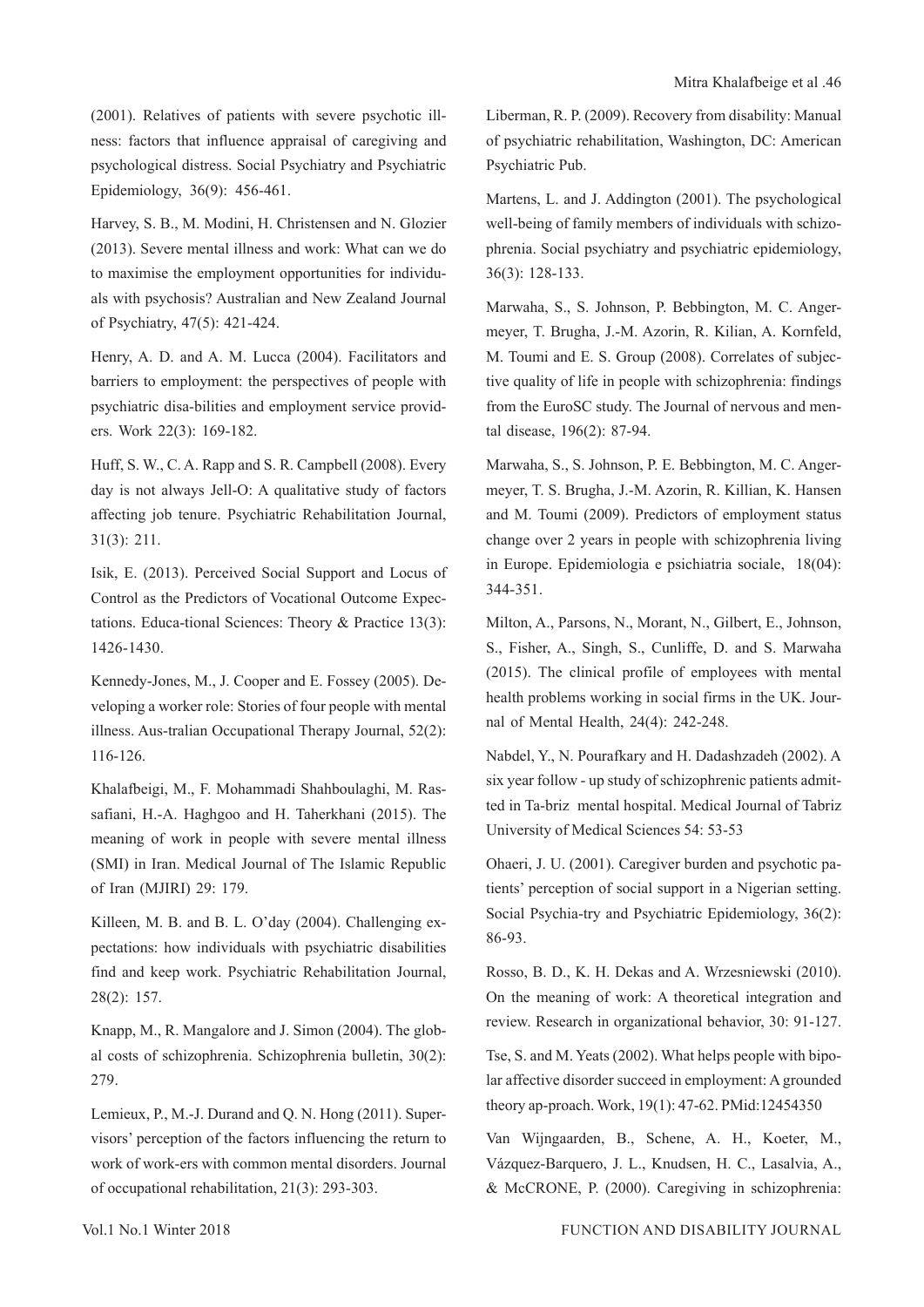(2001). Relatives of patients with severe psychotic illness: factors that influence appraisal of caregiving and psychological distress. Social Psychiatry and Psychiatric Epidemiology, 36(9): 456-461.

Harvey, S. B., M. Modini, H. Christensen and N. Glozier (2013). Severe mental illness and work: What can we do to maximise the employment opportunities for individuals with psychosis? Australian and New Zealand Journal of Psychiatry, 47(5): 421-424.

Henry, A. D. and A. M. Lucca (2004). Facilitators and barriers to employment: the perspectives of people with psychiatric disa-bilities and employment service providers. Work 22(3): 169-182.

Huff, S. W., C. A. Rapp and S. R. Campbell (2008). Every day is not always Jell-O: A qualitative study of factors affecting job tenure. Psychiatric Rehabilitation Journal, 31(3): 211.

Isik, E. (2013). Perceived Social Support and Locus of Control as the Predictors of Vocational Outcome Expectations. Educa-tional Sciences: Theory & Practice 13(3): 1426-1430.

Kennedy‐Jones, M., J. Cooper and E. Fossey (2005). Developing a worker role: Stories of four people with mental illness. Aus-tralian Occupational Therapy Journal, 52(2): 116-126.

Khalafbeigi, M., F. Mohammadi Shahboulaghi, M. Rassafiani, H.-A. Haghgoo and H. Taherkhani (2015). The meaning of work in people with severe mental illness (SMI) in Iran. Medical Journal of The Islamic Republic of Iran (MJIRI) 29: 179.

Killeen, M. B. and B. L. O'day (2004). Challenging expectations: how individuals with psychiatric disabilities find and keep work. Psychiatric Rehabilitation Journal, 28(2): 157.

Knapp, M., R. Mangalore and J. Simon (2004). The global costs of schizophrenia. Schizophrenia bulletin, 30(2): 279.

Lemieux, P., M.-J. Durand and Q. N. Hong (2011). Supervisors' perception of the factors influencing the return to work of work-ers with common mental disorders. Journal of occupational rehabilitation, 21(3): 293-303.

Liberman, R. P. (2009). Recovery from disability: Manual of psychiatric rehabilitation, Washington, DC: American Psychiatric Pub.

Martens, L. and J. Addington (2001). The psychological well-being of family members of individuals with schizophrenia. Social psychiatry and psychiatric epidemiology, 36(3): 128-133.

Marwaha, S., S. Johnson, P. Bebbington, M. C. Angermeyer, T. Brugha, J.-M. Azorin, R. Kilian, A. Kornfeld, M. Toumi and E. S. Group (2008). Correlates of subjective quality of life in people with schizophrenia: findings from the EuroSC study. The Journal of nervous and mental disease, 196(2): 87-94.

Marwaha, S., S. Johnson, P. E. Bebbington, M. C. Angermeyer, T. S. Brugha, J.-M. Azorin, R. Killian, K. Hansen and M. Toumi (2009). Predictors of employment status change over 2 years in people with schizophrenia living in Europe. Epidemiologia e psichiatria sociale, 18(04): 344-351.

Milton, A., Parsons, N., Morant, N., Gilbert, E., Johnson, S., Fisher, A., Singh, S., Cunliffe, D. and S. Marwaha (2015). The clinical profile of employees with mental health problems working in social firms in the UK. Journal of Mental Health, 24(4): 242-248.

Nabdel, Y., N. Pourafkary and H. Dadashzadeh (2002). A six year follow - up study of schizophrenic patients admitted in Ta-briz mental hospital. Medical Journal of Tabriz University of Medical Sciences 54: 53-53

Ohaeri, J. U. (2001). Caregiver burden and psychotic patients' perception of social support in a Nigerian setting. Social Psychia-try and Psychiatric Epidemiology, 36(2): 86-93.

Rosso, B. D., K. H. Dekas and A. Wrzesniewski (2010). On the meaning of work: A theoretical integration and review. Research in organizational behavior, 30: 91-127.

Tse, S. and M. Yeats (2002). What helps people with bipolar affective disorder succeed in employment: A grounded theory ap-proach. Work, 19(1): 47-62. PMid:12454350

Van Wijngaarden, B., Schene, A. H., Koeter, M., Vázquez-Barquero, J. L., Knudsen, H. C., Lasalvia, A., & McCRONE, P. (2000). Caregiving in schizophrenia: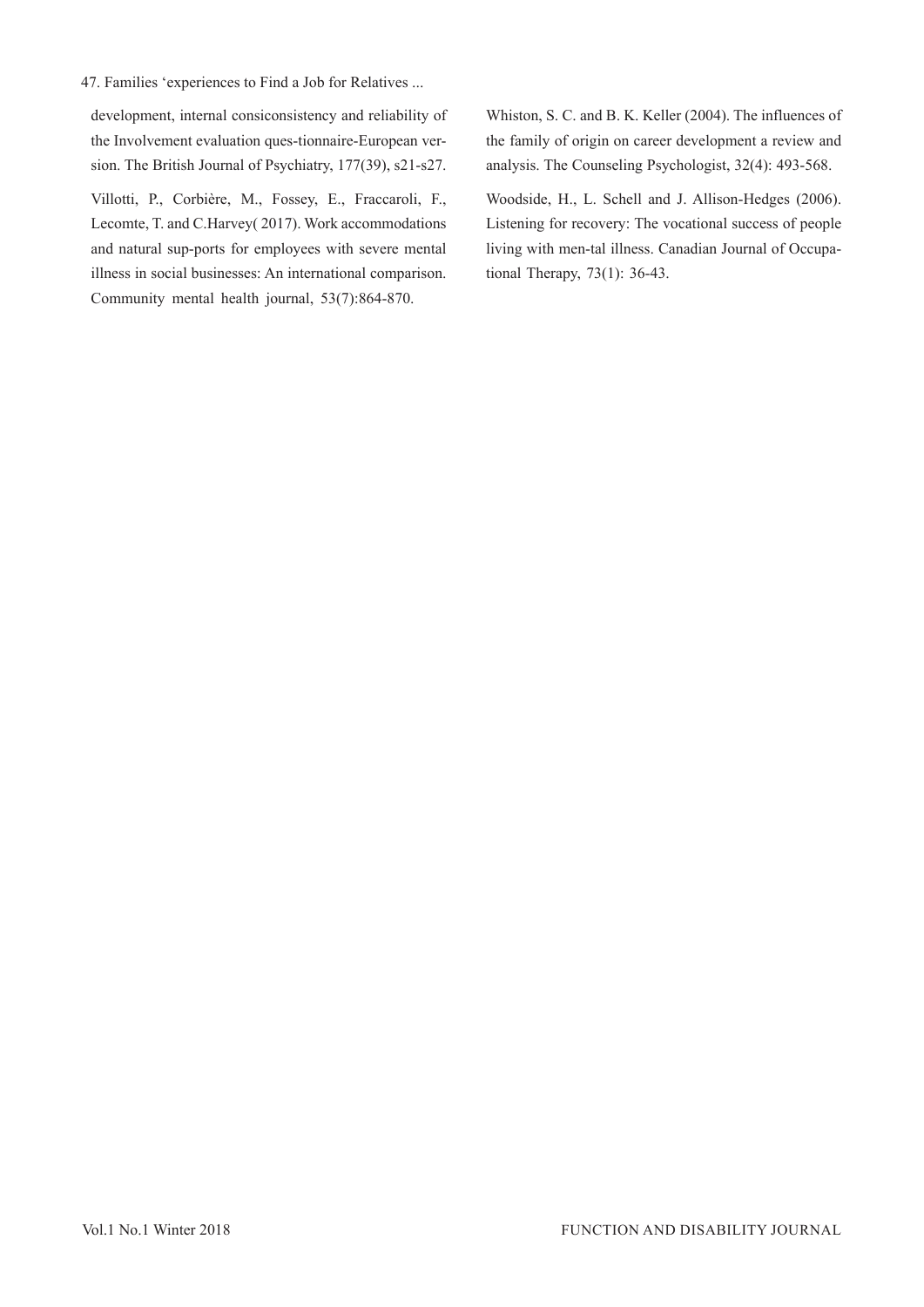47. Families 'experiences to Find a Job for Relatives ...

development, internal consiconsistency and reliability of the Involvement evaluation ques-tionnaire-European version. The British Journal of Psychiatry, 177(39), s21-s27.

Villotti, P., Corbière, M., Fossey, E., Fraccaroli, F., Lecomte, T. and C.Harvey( 2017). Work accommodations and natural sup-ports for employees with severe mental illness in social businesses: An international comparison. Community mental health journal, 53(7):864-870.

Whiston, S. C. and B. K. Keller (2004). The influences of the family of origin on career development a review and analysis. The Counseling Psychologist, 32(4): 493-568.

Woodside, H., L. Schell and J. Allison-Hedges (2006). Listening for recovery: The vocational success of people living with men-tal illness. Canadian Journal of Occupational Therapy, 73(1): 36-43.